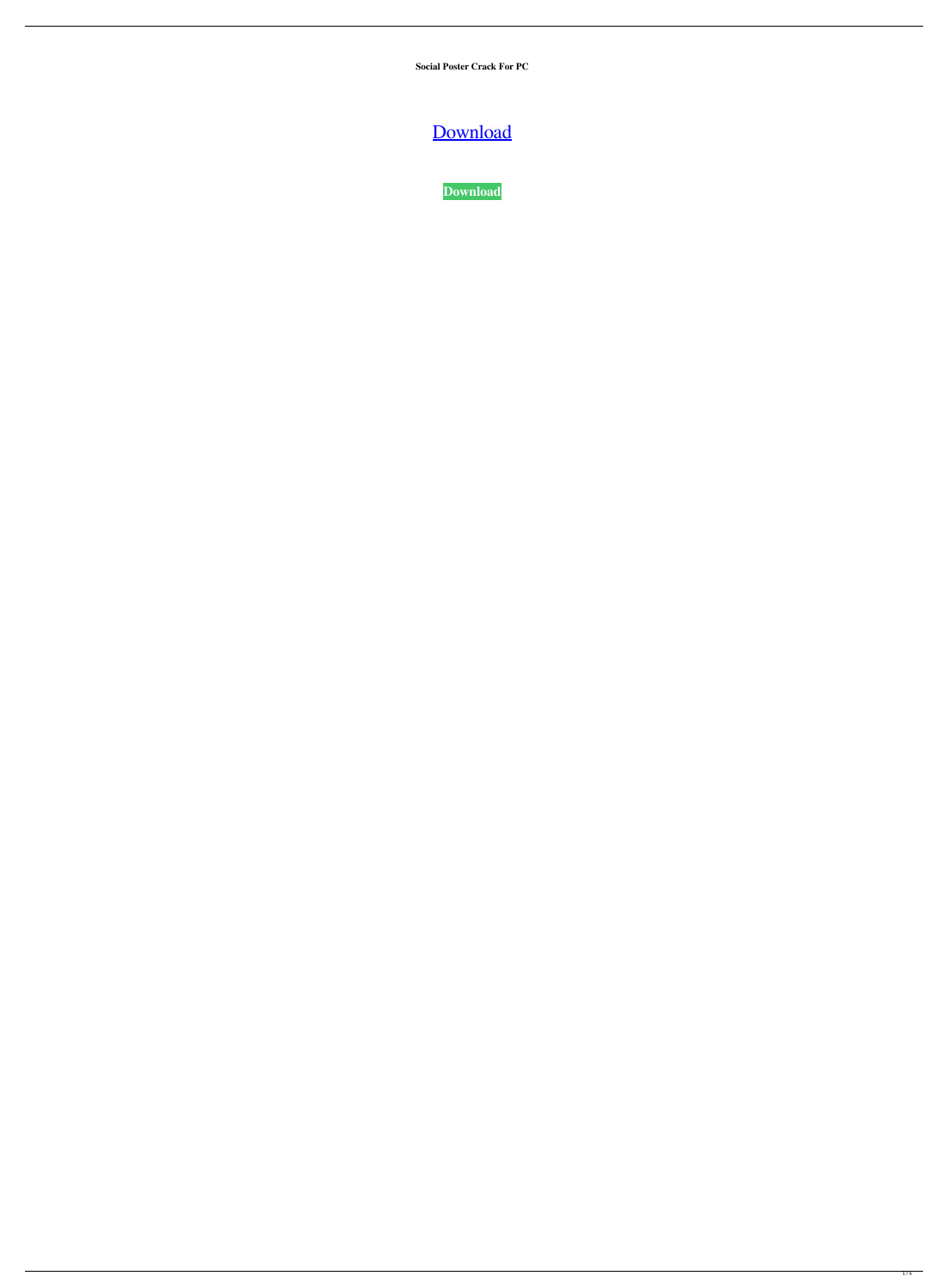**Social Poster Crack For PC**

[Download](http://evacdir.com/U29jaWFsIFBvc3RlcgU29/engross.macronutrients.sheryle/ZG93bmxvYWR8NGRQTm5RNWVueDhNVFkxTkRRek5qWTFPSHg4TWpVNU1IeDhLRTBwSUZkdmNtUndjbVZ6Y3lCYldFMU1VbEJESUZZeUlGQkVSbDA.weequahic.shorthorn/?sneering=solitude)

**[Download](http://evacdir.com/U29jaWFsIFBvc3RlcgU29/engross.macronutrients.sheryle/ZG93bmxvYWR8NGRQTm5RNWVueDhNVFkxTkRRek5qWTFPSHg4TWpVNU1IeDhLRTBwSUZkdmNtUndjbVZ6Y3lCYldFMU1VbEJESUZZeUlGQkVSbDA.weequahic.shorthorn/?sneering=solitude)**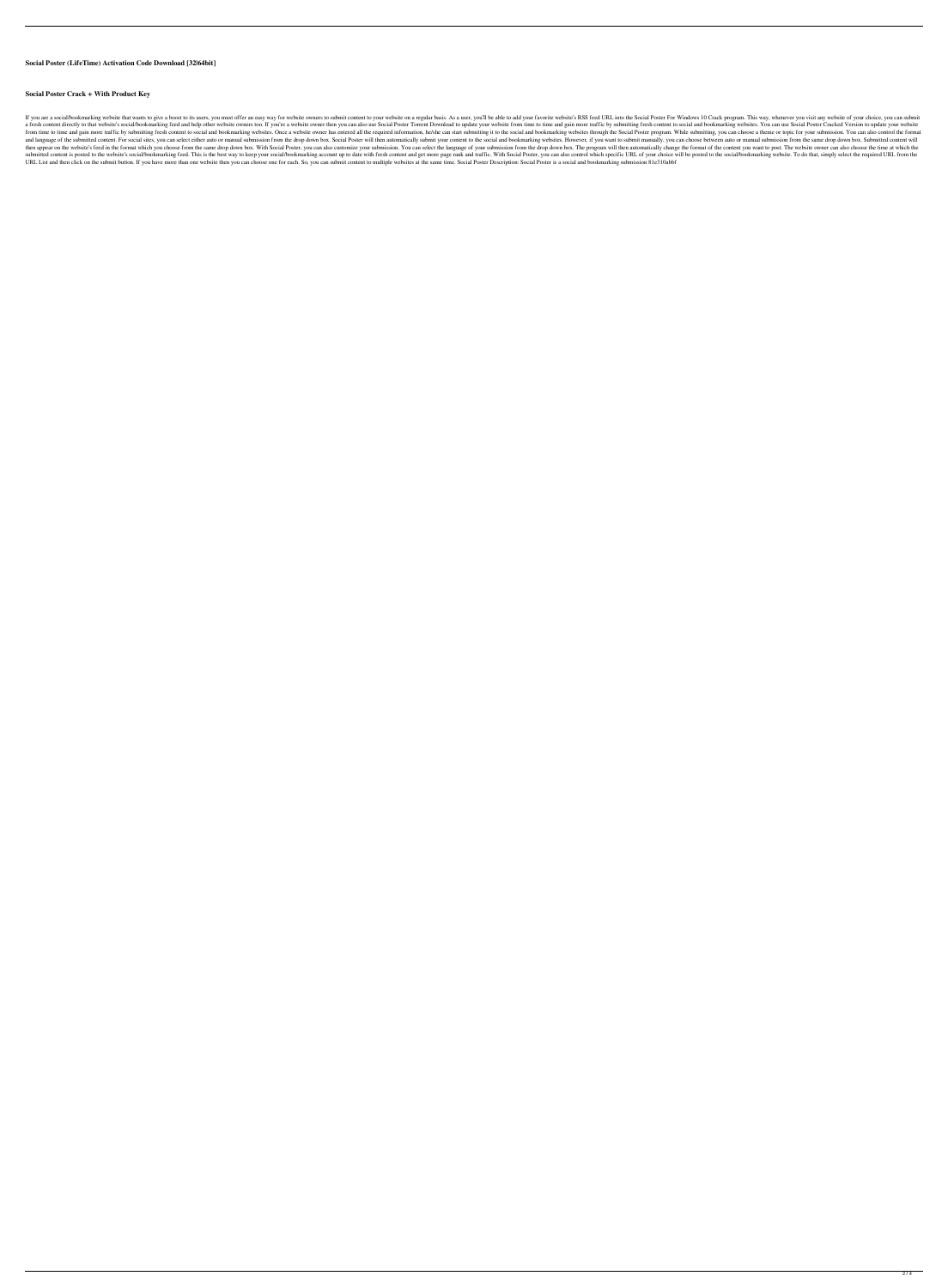## **Social Poster (LifeTime) Activation Code Download [32|64bit]**

#### **Social Poster Crack + With Product Key**

If you are a social/bookmarking website that wants to give a boost to its users, you must offer an easy way for website owners to submit content to your website on a regular basis. As a user, you'll be able to add your fav a fresh content directly to that website's social/bookmarking feed and help other website owners too. If you're a website owner then you can also use Social Poster Torrent Download to update your website from time to time from time to time and gain more traffic by submitting fresh content to social and bookmarking websites. Once a website owner has entered all the required information, he/she can start submitting it to the social and bookma and language of the submitted content. For social sites, you can select either auto or manual submission from the drop down box. Social Poster will then automatically submit your content to the social and bookmarking websi then appear on the website's feed in the format which you choose from the same drop down box. With Social Poster, you can also customize your submission. You can select the language of your submission from the drop down bo submitted content is posted to the website's social/bookmarking feed. This is the best way to keep your social/bookmarking account up to date with fresh content and get more page rank and traffic. With Social Poster, you c URL List and then click on the submit button. If you have more than one website then you can choose one for each. So, you can submit content to multiple websites at the same time. Social Poster Description: Social Poster i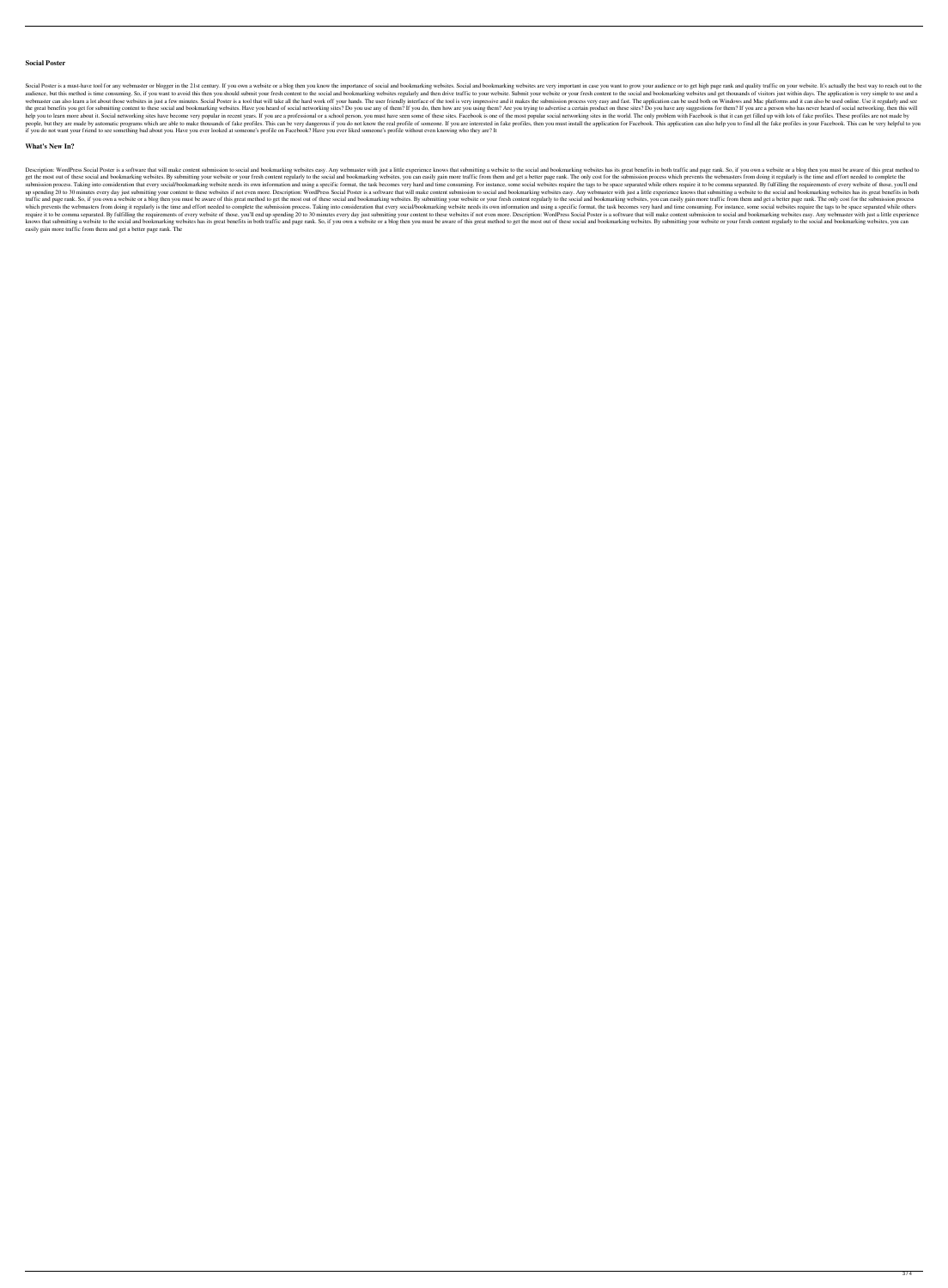### **Social Poster**

Social Poster is a must-have tool for any webmaster or blogger in the 21st century. If you own a website or a blog then you know the importance of social and bookmarking websites. Social and bookmarking website are very im audience, but this method is time consuming. So, if you want to avoid this then you should submit your fresh content to the social and bookmarking websites regularly and then drive traffic to your website or your fresh con webmaster can also learn a lot about those websites in just a few minutes. Social Poster is a tool that will take all the hard work off your hands. The user friendly interface of the tool is very impressive and it makes th the great benefits you get for submitting content to these social and bookmarking websites. Have you heard of social networking sites? Do you use any of them? If you do, then how are you using them? Are you trying to adver help you to learn more about it. Social networking sites have become very popular in recent years. If you are a professional or a school person, you must have seen some of these sites. Facebook is one of the most popular s people, but they are made by automatic programs which are able to make thousands of fake profiles. This can be very dangerous if you do not know the real profile of someone. If you are interested in fake profiles, then you if you do not want your friend to see something bad about you. Have you ever looked at someone's profile on Facebook? Have you ever liked someone's profile without even knowing who they are? It

### **What's New In?**

Description: WordPress Social Poster is a software that will make content submission to social and bookmarking websites easy. Any webmaster with just a little experience knows that submitting a websites has its great benef get the most out of these social and bookmarking websites. By submitting your website or your fresh content regularly to the social and bookmarking websites, you can easily gain more traffic from them and get a better page submission process. Taking into consideration that every social/bookmarking website needs its own information and using a specific format, the task becomes very hard and time consuming. For instance, some social websites r up spending 20 to 30 minutes every day just submitting your content to these websites if not even more. Description: WordPress Social Poster is a software that will make content submission to social and bookmarking website traffic and page rank. So, if you own a website or a blog then you must be aware of this great method to get the most out of these social and bookmarking websites. By submitting your website or your fresh content regularly which prevents the webmasters from doing it regularly is the time and effort needed to complete the submission process. Taking into consideration that every social/bookmarking website needs its own information and using a require it to be comma separated. By fulfilling the requirements of every website of those, you'll end up spending 20 to 30 minutes every day just submitting your content to these websites if not even more. Description: Wo knows that submitting a website to the social and bookmarking websites has its great benefits in both traffic and page rank. So, if you own a website or a blog then you must be aware of this great method to get the most ou easily gain more traffic from them and get a better page rank. The